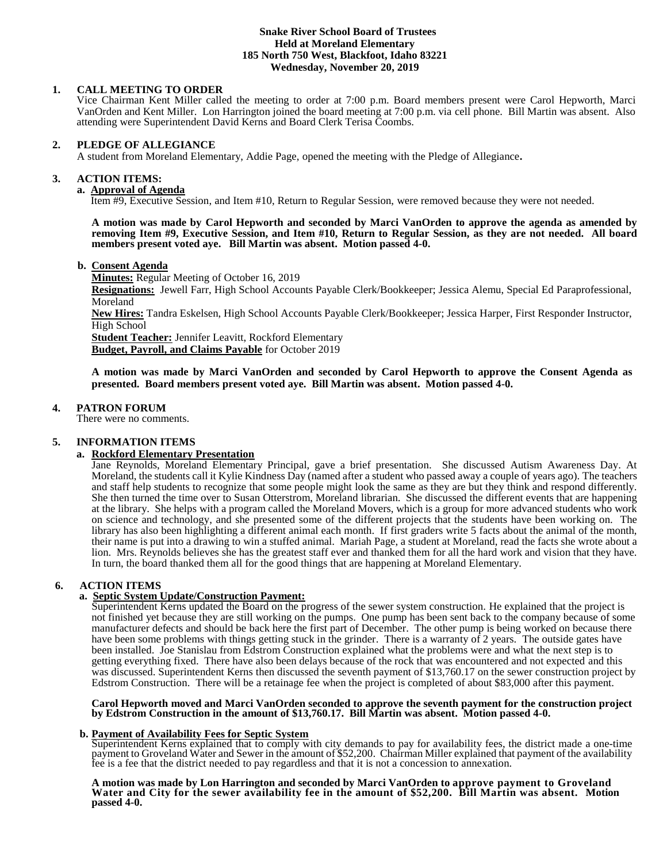### **Snake River School Board of Trustees Held at Moreland Elementary 185 North 750 West, Blackfoot, Idaho 83221 Wednesday, November 20, 2019**

# **1. CALL MEETING TO ORDER**

Vice Chairman Kent Miller called the meeting to order at 7:00 p.m. Board members present were Carol Hepworth, Marci VanOrden and Kent Miller. Lon Harrington joined the board meeting at 7:00 p.m. via cell phone. Bill Martin was absent. Also attending were Superintendent David Kerns and Board Clerk Terisa Coombs.

## **2. PLEDGE OF ALLEGIANCE**

A student from Moreland Elementary, Addie Page, opened the meeting with the Pledge of Allegiance**.** 

#### 3. **3. ACTION ITEMS:**

## **a. Approval of Agenda**

Item #9, Executive Session, and Item #10, Return to Regular Session, were removed because they were not needed.

**A motion was made by Carol Hepworth and seconded by Marci VanOrden to approve the agenda as amended by removing Item #9, Executive Session, and Item #10, Return to Regular Session, as they are not needed. All board members present voted aye. Bill Martin was absent. Motion passed 4-0.**

#### **b. Consent Agenda**

**Minutes:** Regular Meeting of October 16, 2019

**Resignations:** Jewell Farr, High School Accounts Payable Clerk/Bookkeeper; Jessica Alemu, Special Ed Paraprofessional, Moreland

**New Hires:** Tandra Eskelsen, High School Accounts Payable Clerk/Bookkeeper; Jessica Harper, First Responder Instructor, High School

**Student Teacher:** Jennifer Leavitt, Rockford Elementary **Budget, Payroll, and Claims Payable** for October 2019

**A motion was made by Marci VanOrden and seconded by Carol Hepworth to approve the Consent Agenda as presented. Board members present voted aye. Bill Martin was absent. Motion passed 4-0.**

### **4. PATRON FORUM**

There were no comments.

#### **5. INFORMATION ITEMS**

# **a. Rockford Elementary Presentation**

Jane Reynolds, Moreland Elementary Principal, gave a brief presentation. She discussed Autism Awareness Day. At Moreland, the students call it Kylie Kindness Day (named after a student who passed away a couple of years ago). The teachers and staff help students to recognize that some people might look the same as they are but they think and respond differently. She then turned the time over to Susan Otterstrom, Moreland librarian. She discussed the different events that are happening at the library. She helps with a program called the Moreland Movers, which is a group for more advanced students who work on science and technology, and she presented some of the different projects that the students have been working on. The library has also been highlighting a different animal each month. If first graders write 5 facts about the animal of the month, their name is put into a drawing to win a stuffed animal. Mariah Page, a student at Moreland, read the facts she wrote about a lion. Mrs. Reynolds believes she has the greatest staff ever and thanked them for all the hard work and vision that they have. In turn, the board thanked them all for the good things that are happening at Moreland Elementary.

# **6. ACTION ITEMS**

# **a. Septic System Update/Construction Payment:**

Superintendent Kerns updated the Board on the progress of the sewer system construction. He explained that the project is not finished yet because they are still working on the pumps. One pump has been sent back to the company because of some manufacturer defects and should be back here the first part of December. The other pump is being worked on because there have been some problems with things getting stuck in the grinder. There is a warranty of 2 years. The outside gates have been installed. Joe Stanislau from Edstrom Construction explained what the problems were and what the next step is to getting everything fixed. There have also been delays because of the rock that was encountered and not expected and this was discussed. Superintendent Kerns then discussed the seventh payment of \$13,760.17 on the sewer construction project by Edstrom Construction. There will be a retainage fee when the project is completed of about \$83,000 after this payment.

#### **Carol Hepworth moved and Marci VanOrden seconded to approve the seventh payment for the construction project by Edstrom Construction in the amount of \$13,760.17. Bill Martin was absent. Motion passed 4-0.**

#### **b. Payment of Availability Fees for Septic System**

Superintendent Kerns explained that to comply with city demands to pay for availability fees, the district made a one-time payment to Groveland Water and Sewer in the amount of \$52,200. Chairman Miller explained that payment of the availability fee is a fee that the district needed to pay regardless and that it is not a concession to annexation.

**A motion was made by Lon Harrington and seconded by Marci VanOrden to approve payment to Groveland Water and City for the sewer availability fee in the amount of \$52,200. Bill Martin was absent. Motion passed 4-0.**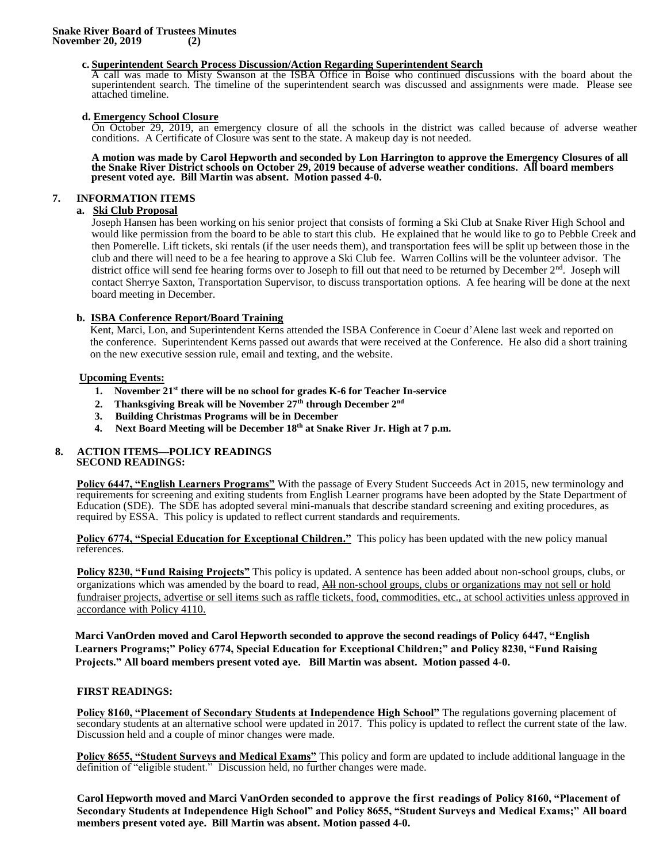#### **c. Superintendent Search Process Discussion/Action Regarding Superintendent Search**

A call was made to Misty Swanson at the ISBA Office in Boise who continued discussions with the board about the superintendent search. The timeline of the superintendent search was discussed and assignments were made. Please see attached timeline.

## **d. Emergency School Closure**

On October 29, 2019, an emergency closure of all the schools in the district was called because of adverse weather conditions. A Certificate of Closure was sent to the state. A makeup day is not needed.

**A motion was made by Carol Hepworth and seconded by Lon Harrington to approve the Emergency Closures of all the Snake River District schools on October 29, 2019 because of adverse weather conditions. All board members present voted aye. Bill Martin was absent. Motion passed 4-0.**

# **7. INFORMATION ITEMS**

# **a. Ski Club Proposal**

Joseph Hansen has been working on his senior project that consists of forming a Ski Club at Snake River High School and would like permission from the board to be able to start this club. He explained that he would like to go to Pebble Creek and then Pomerelle. Lift tickets, ski rentals (if the user needs them), and transportation fees will be split up between those in the club and there will need to be a fee hearing to approve a Ski Club fee. Warren Collins will be the volunteer advisor. The district office will send fee hearing forms over to Joseph to fill out that need to be returned by December 2<sup>nd</sup>. Joseph will contact Sherrye Saxton, Transportation Supervisor, to discuss transportation options. A fee hearing will be done at the next board meeting in December.

# **b. ISBA Conference Report/Board Training**

Kent, Marci, Lon, and Superintendent Kerns attended the ISBA Conference in Coeur d'Alene last week and reported on the conference. Superintendent Kerns passed out awards that were received at the Conference. He also did a short training on the new executive session rule, email and texting, and the website.

# **Upcoming Events:**

- **1. November 21st there will be no school for grades K-6 for Teacher In-service**
- **2. Thanksgiving Break will be November 27th through December 2nd**
- **3. Building Christmas Programs will be in December**
- **4. Next Board Meeting will be December 18th at Snake River Jr. High at 7 p.m.**

### **8. ACTION ITEMS—POLICY READINGS SECOND READINGS:**

**Policy 6447, "English Learners Programs"** With the passage of Every Student Succeeds Act in 2015, new terminology and requirements for screening and exiting students from English Learner programs have been adopted by the State Department of Education (SDE). The SDE has adopted several mini-manuals that describe standard screening and exiting procedures, as required by ESSA. This policy is updated to reflect current standards and requirements.

**Policy 6774, "Special Education for Exceptional Children."** This policy has been updated with the new policy manual references.

**Policy 8230, "Fund Raising Projects"** This policy is updated. A sentence has been added about non-school groups, clubs, or organizations which was amended by the board to read, All non-school groups, clubs or organizations may not sell or hold fundraiser projects, advertise or sell items such as raffle tickets, food, commodities, etc., at school activities unless approved in accordance with Policy 4110.

**Marci VanOrden moved and Carol Hepworth seconded to approve the second readings of Policy 6447, "English Learners Programs;" Policy 6774, Special Education for Exceptional Children;" and Policy 8230, "Fund Raising Projects." All board members present voted aye. Bill Martin was absent. Motion passed 4-0.**

# **FIRST READINGS:**

**Policy 8160, "Placement of Secondary Students at Independence High School"** The regulations governing placement of secondary students at an alternative school were updated in 2017. This policy is updated to reflect the current state of the law. Discussion held and a couple of minor changes were made.

**Policy 8655, "Student Surveys and Medical Exams"** This policy and form are updated to include additional language in the definition of "eligible student." Discussion held, no further changes were made.

**Carol Hepworth moved and Marci VanOrden seconded to approve the first readings of Policy 8160, "Placement of Secondary Students at Independence High School" and Policy 8655, "Student Surveys and Medical Exams;" All board members present voted aye. Bill Martin was absent. Motion passed 4-0.**